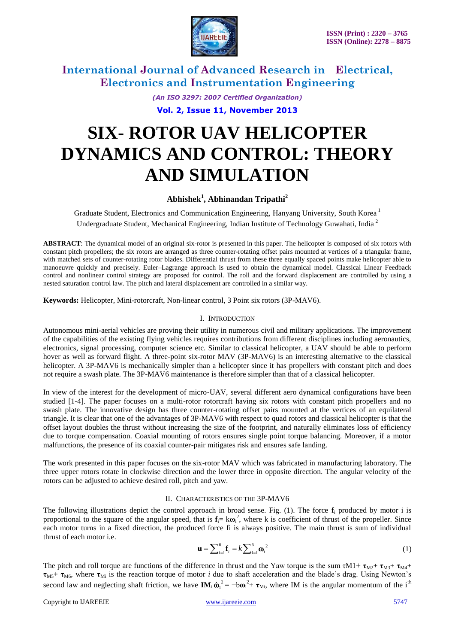

> *(An ISO 3297: 2007 Certified Organization)* **Vol. 2, Issue 11, November 2013**

# **SIX- ROTOR UAV HELICOPTER DYNAMICS AND CONTROL: THEORY AND SIMULATION**

## **Abhishek<sup>1</sup> , Abhinandan Tripathi<sup>2</sup>**

Graduate Student, Electronics and Communication Engineering, Hanyang University, South Korea<sup>1</sup> Undergraduate Student, Mechanical Engineering, Indian Institute of Technology Guwahati, India <sup>2</sup>

**ABSTRACT**: The dynamical model of an original six-rotor is presented in this paper. The helicopter is composed of six rotors with constant pitch propellers; the six rotors are arranged as three counter-rotating offset pairs mounted at vertices of a triangular frame, with matched sets of counter-rotating rotor blades. Differential thrust from these three equally spaced points make helicopter able to manoeuvre quickly and precisely. Euler–Lagrange approach is used to obtain the dynamical model. Classical Linear Feedback control and nonlinear control strategy are proposed for control. The roll and the forward displacement are controlled by using a nested saturation control law. The pitch and lateral displacement are controlled in a similar way.

**Keywords:** Helicopter, Mini-rotorcraft, Non-linear control, 3 Point six rotors (3P-MAV6).

#### I. INTRODUCTION

Autonomous mini-aerial vehicles are proving their utility in numerous civil and military applications. The improvement of the capabilities of the existing flying vehicles requires contributions from different disciplines including aeronautics, electronics, signal processing, computer science etc. Similar to classical helicopter, a UAV should be able to perform hover as well as forward flight. A three-point six-rotor MAV (3P-MAV6) is an interesting alternative to the classical helicopter. A 3P-MAV6 is mechanically simpler than a helicopter since it has propellers with constant pitch and does not require a swash plate. The 3P-MAV6 maintenance is therefore simpler than that of a classical helicopter.

In view of the interest for the development of micro-UAV, several different aero dynamical configurations have been studied [1-4]. The paper focuses on a multi-rotor rotorcraft having six rotors with constant pitch propellers and no swash plate. The innovative design has three counter-rotating offset pairs mounted at the vertices of an equilateral triangle. It is clear that one of the advantages of 3P-MAV6 with respect to quad rotors and classical helicopter is that the offset layout doubles the thrust without increasing the size of the footprint, and naturally eliminates loss of efficiency due to torque compensation. Coaxial mounting of rotors ensures single point torque balancing. Moreover, if a motor malfunctions, the presence of its coaxial counter-pair mitigates risk and ensures safe landing.

The work presented in this paper focuses on the six-rotor MAV which was fabricated in manufacturing laboratory. The three upper rotors rotate in clockwise direction and the lower three in opposite direction. The angular velocity of the rotors can be adjusted to achieve desired roll, pitch and yaw.

#### II. CHARACTERISTICS OF THE 3P-MAV6

The following illustrations depict the control approach in broad sense. Fig.  $(1)$ . The force  $f_i$  produced by motor i is proportional to the square of the angular speed, that is  $f_i = k\omega_i^2$ , where k is coefficient of thrust of the propeller. Since each motor turns in a fixed direction, the produced force fi is always positive. The main thrust is sum of individual thrust of each motor i.e.

$$
\mathbf{u} = \sum_{i=1}^{6} \mathbf{f}_i = k \sum_{i=1}^{6} \mathbf{\omega}_i^2
$$
 (1)

The pitch and roll torque are functions of the difference in thrust and the Yaw torque is the sum  $\tau M1 + \tau_{M2} + \tau_{M3} + \tau_{M4}$ **τ**M5+ **τ**M6, where **τ**Mi is the reaction torque of motor *i* due to shaft acceleration and the blade's drag. Using Newton's second law and neglecting shaft friction, we have  $\mathbf{IM}_i \dot{\boldsymbol{\omega}}_i^2 = -b\boldsymbol{\omega}_i^2 + \boldsymbol{\tau}_{Mi}$ , where IM is the angular momentum of the i<sup>th</sup>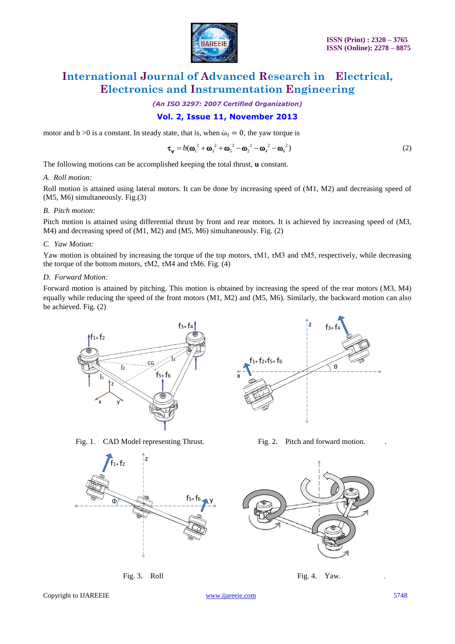

*(An ISO 3297: 2007 Certified Organization)*

### **Vol. 2, Issue 11, November 2013**

motor and  $b > 0$  is a constant. In steady state, that is, when  $\dot{\omega}_i = 0$ , the yaw torque is

$$
\boldsymbol{\tau}_{\mathbf{\psi}} = b(\boldsymbol{\omega}_{1}^{2} + \boldsymbol{\omega}_{3}^{2} + \boldsymbol{\omega}_{5}^{2} - \boldsymbol{\omega}_{2}^{2} - \boldsymbol{\omega}_{4}^{2} - \boldsymbol{\omega}_{6}^{2})
$$
\n(2)

The following motions can be accomplished keeping the total thrust, **u** constant.

#### *A. Roll motion:*

Roll motion is attained using lateral motors. It can be done by increasing speed of (M1, M2) and decreasing speed of (M5, M6) simultaneously. Fig.(3)

#### *B. Pitch motion:*

Pitch motion is attained using differential thrust by front and rear motors. It is achieved by increasing speed of (M3, M4) and decreasing speed of (M1, M2) and (M5, M6) simultaneously. Fig. (2)

#### *C. Yaw Motion:*

Yaw motion is obtained by increasing the torque of the top motors, τM1, τM3 and τM5, respectively, while decreasing the torque of the bottom motors,  $τM2$ ,  $τM4$  and  $τM6$ . Fig. (4)

#### *D. Forward Motion:*

Forward motion is attained by pitching. This motion is obtained by increasing the speed of the rear motors (M3, M4) equally while reducing the speed of the front motors (M1, M2) and (M5, M6). Similarly, the backward motion can also be achieved. Fig. (2)



Fig. 1. CAD Model representing Thrust. Fig. 2. Pitch and forward motion.





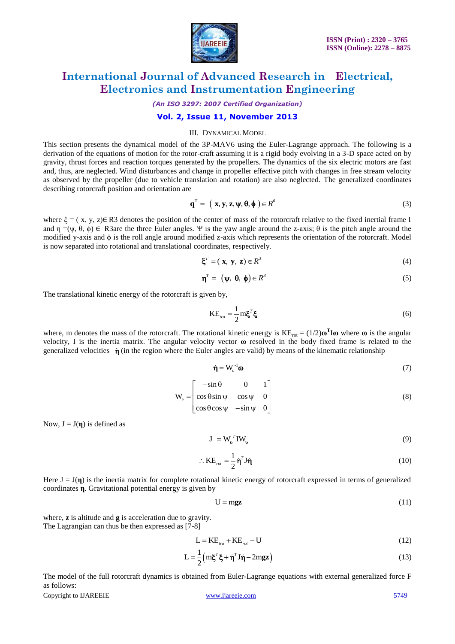

*(An ISO 3297: 2007 Certified Organization)*

#### **Vol. 2, Issue 11, November 2013**

#### III. DYNAMICAL MODEL

This section presents the dynamical model of the 3P-MAV6 using the Euler-Lagrange approach. The following is a derivation of the equations of motion for the rotor-craft assuming it is a rigid body evolving in a 3-D space acted on by gravity, thrust forces and reaction torques generated by the propellers. The dynamics of the six electric motors are fast and, thus, are neglected. Wind disturbances and change in propeller effective pitch with changes in free stream velocity as observed by the propeller (due to vehicle translation and rotation) are also neglected. The generalized coordinates describing rotorcraft position and orientation are

$$
\mathbf{q}^{\mathrm{T}} = \left( \mathbf{x}, \mathbf{y}, \mathbf{z}, \boldsymbol{\psi}, \boldsymbol{\theta}, \boldsymbol{\phi} \right) \in R^6 \tag{3}
$$

where  $\xi = (x, y, z) \in \mathbb{R}3$  denotes the position of the center of mass of the rotorcraft relative to the fixed inertial frame I and  $\eta = (\psi, \theta, \phi) \in R3$ are the three Euler angles. Ψ is the yaw angle around the z-axis; θ is the pitch angle around the modified y-axis and  $\phi$  is the roll angle around modified z-axis which represents the orientation of the rotorcraft. Model is now separated into rotational and translational coordinates, respectively.

$$
\boldsymbol{\xi}^T = (\mathbf{x}, \mathbf{y}, \mathbf{z}) \in R^3 \tag{4}
$$

$$
\mathbf{\eta}^T = (\mathbf{\psi}, \, \mathbf{\theta}, \, \mathbf{\phi}) \in R^3 \tag{5}
$$

The translational kinetic energy of the rotorcraft is given by,

$$
KE_{tra} = \frac{1}{2} m \xi^T \xi \tag{6}
$$

where, m denotes the mass of the rotorcraft. The rotational kinetic energy is  $KE_{rot} = (1/2)\omega^T I \omega$  where  $\omega$  is the angular velocity, I is the inertia matrix. The angular velocity vector **ω** resolved in the body fixed frame is related to the generalized velocities  $\dot{\eta}$  (in the region where the Euler angles are valid) by means of the kinematic relationship

$$
\dot{\mathbf{\eta}} = \mathbf{W}_v^{-1} \mathbf{\omega} \tag{7}
$$

$$
\mathbf{W}_{v} = \begin{bmatrix} -\sin\theta & 0 & 1 \\ \cos\theta\sin\psi & \cos\psi & 0 \\ \cos\theta\cos\psi & -\sin\psi & 0 \end{bmatrix}
$$
 (8)

Now,  $J = J(\eta)$  is defined as

 $J = W_v^T I W_v^T$ (9)

$$
\therefore \text{KE}_{rot} = \frac{1}{2} \dot{\eta}^T \text{J} \dot{\eta}
$$
 (10)

Here  $J = J(\eta)$  is the inertia matrix for complete rotational kinetic energy of rotorcraft expressed in terms of generalized coordinates **η**. Gravitational potential energy is given by

$$
U = mgz \tag{11}
$$

where, **z** is altitude and **g** is acceleration due to gravity. The Lagrangian can thus be then expressed as [7-8]

$$
L = KE_{tra} + KE_{rot} - U
$$
 (12)

$$
L = \frac{1}{2} \left( m \xi^T \xi + \dot{\eta}^T J \dot{\eta} - 2m g z \right)
$$
 (13)

The model of the full rotorcraft dynamics is obtained from Euler-Lagrange equations with external generalized force F as follows:

Copyright to IJAREEIE www.ijareeie.com 5749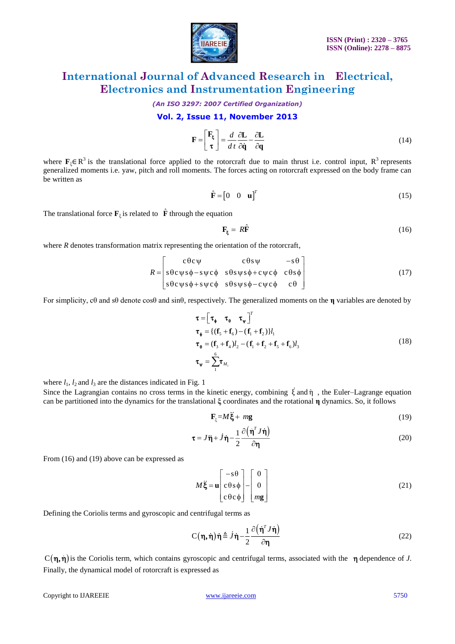

*(An ISO 3297: 2007 Certified Organization)*

#### **Vol. 2, Issue 11, November 2013**

$$
\mathbf{F} = \begin{bmatrix} \mathbf{F}_{\xi} \\ \tau \end{bmatrix} = \frac{d}{dt} \frac{\partial \mathbf{L}}{\partial \dot{\mathbf{q}}} - \frac{\partial \mathbf{L}}{\partial \mathbf{q}} \tag{14}
$$

where  $\mathbf{F}_{\xi} \in \mathbb{R}^{3}$  is the translational force applied to the rotorcraft due to main thrust i.e. control input,  $\mathbb{R}^{3}$  represents generalized moments i.e. yaw, pitch and roll moments. The forces acting on rotorcraft expressed on the body frame can be written as

$$
\hat{\mathbf{F}} = \begin{bmatrix} 0 & 0 & \mathbf{u} \end{bmatrix}^T \tag{15}
$$

The translational force  $\mathbf{F}_{\xi}$  is related to  $\hat{\mathbf{F}}$  through the equation

$$
\mathbf{F}_{\xi} = R\hat{\mathbf{F}} \tag{16}
$$

where *R* denotes transformation matrix representing the orientation of the rotorcraft,

$$
R = \begin{bmatrix} c\theta c\psi & c\theta s\psi & -s\theta \\ s\theta c\psi s\phi - s\psi c\phi & s\theta s\psi s\phi + c\psi c\phi & c\theta s\phi \\ s\theta c\psi s\phi + s\psi c\phi & s\theta s\psi s\phi - c\psi c\phi & c\theta \end{bmatrix}
$$
(17)

For simplicity, cθ and sθ denote cosθ and sinθ, respectively. The generalized moments on the **η** variables are denoted by

Copyright to IJAREEIE www.ijareeie.com 5750 *d* 5 6 1 2 1 3 4 2 1 2 5 6 3 6 1 ) ( )} ( ) ( ) {( *M<sup>i</sup> T l l l* **τ f f f f τ f f f f f f τ** (18)

where  $l_1$ ,  $l_2$  and  $l_3$  are the distances indicated in Fig. 1

Since the Lagrangian contains no cross terms in the kinetic energy, combining  $\dot{\xi}$  and  $\eta$ , the Euler–Lagrange equation can be partitioned into the dynamics for the translational **ξ** coordinates and the rotational **η** dynamics. So, it follows

$$
\mathbf{F}_{\xi} = M\ddot{\xi} + m\mathbf{g} \tag{19}
$$

$$
\tau = J\ddot{\eta} + \dot{J}\dot{\eta} - \frac{1}{2} \frac{\partial (\dot{\eta}^T J\dot{\eta})}{\partial \eta}
$$
 (20)

From (16) and (19) above can be expressed as

$$
M\ddot{\xi} = \mathbf{u} \begin{bmatrix} -s\theta \\ c\theta s\phi \\ c\theta c\phi \end{bmatrix} - \begin{bmatrix} 0 \\ 0 \\ mg \end{bmatrix}
$$
 (21)

Defining the Coriolis terms and gyroscopic and centrifugal terms as

$$
C(\eta, \dot{\eta})\dot{\eta} \triangleq \dot{J}\dot{\eta} - \frac{1}{2} \frac{\partial (\dot{\eta}^T J \dot{\eta})}{\partial \eta}
$$
 (22)

 $C(\eta, \dot{\eta})$  is the Coriolis term, which contains gyroscopic and centrifugal terms, associated with the  $\eta$  dependence of *J*. Finally, the dynamical model of rotorcraft is expressed as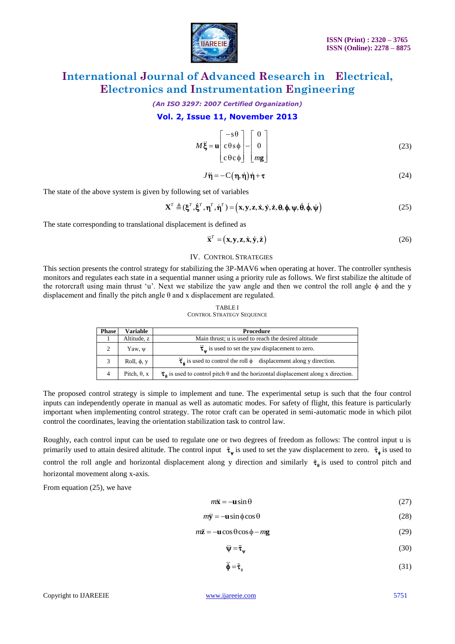

*(An ISO 3297: 2007 Certified Organization)*

#### **Vol. 2, Issue 11, November 2013**

$$
M\ddot{\xi} = \mathbf{u} \begin{bmatrix} -s\theta \\ c\theta s\phi \\ c\theta c\phi \end{bmatrix} - \begin{bmatrix} 0 \\ 0 \\ mg \end{bmatrix}
$$
 (23)

$$
J\ddot{\eta} = -C(\eta, \dot{\eta})\dot{\eta} + \tau
$$
 (24)

The state of the above system is given by following set of variables

$$
\mathbf{X}^T \triangleq (\boldsymbol{\xi}^T, \dot{\boldsymbol{\xi}}^T, \boldsymbol{\eta}^T, \dot{\boldsymbol{\eta}}^T) = (\mathbf{x}, \mathbf{y}, \mathbf{z}, \dot{\mathbf{x}}, \dot{\mathbf{y}}, \dot{\mathbf{z}}, \boldsymbol{\theta}, \boldsymbol{\phi}, \boldsymbol{\psi}, \dot{\boldsymbol{\theta}}, \dot{\boldsymbol{\phi}}, \dot{\boldsymbol{\psi}})
$$
(25)

The state corresponding to translational displacement is defined as

$$
\overline{\mathbf{x}}^T = (\mathbf{x}, \mathbf{y}, \mathbf{z}, \dot{\mathbf{x}}, \dot{\mathbf{y}}, \dot{\mathbf{z}}) \tag{26}
$$

#### IV. CONTROL STRATEGIES

This section presents the control strategy for stabilizing the 3P-MAV6 when operating at hover. The controller synthesis monitors and regulates each state in a sequential manner using a priority rule as follows. We first stabilize the altitude of the rotorcraft using main thrust 'u'. Next we stabilize the yaw angle and then we control the roll angle φ and the y displacement and finally the pitch angle θ and x displacement are regulated.

#### TABLE I

CONTROL STRATEGY SEQUENCE

| <b>Phase</b> | Variable            | <b>Procedure</b>                                                                                    |
|--------------|---------------------|-----------------------------------------------------------------------------------------------------|
|              | Altitude, z         | Main thrust; u is used to reach the desired altitude                                                |
| 2            | Yaw, $\psi$         | $\ddot{\tau}_w$ is used to set the yaw displacement to zero.                                        |
|              | Roll, $\phi$ , y    | $\vec{\tau}_{\phi}$ is used to control the roll $\phi$ displacement along y direction.              |
| 4            | Pitch, $\theta$ , x | $\tau_{\rm A}$ is used to control pitch $\theta$ and the horizontal displacement along x direction. |

The proposed control strategy is simple to implement and tune. The experimental setup is such that the four control inputs can independently operate in manual as well as automatic modes. For safety of flight, this feature is particularly important when implementing control strategy. The rotor craft can be operated in semi-automatic mode in which pilot control the coordinates, leaving the orientation stabilization task to control law.

 $M\xi = \begin{vmatrix} \cos \theta & -\sin \theta \\ \cos \theta & -\sin \theta \end{vmatrix} = 0$ <br>  $\sqrt{3} = \begin{vmatrix} 1 & 0 \\ 0 & \sin \theta \end{vmatrix}$ <br>  $\sqrt{3} = (1 + \frac{1}{2} + \frac{1}{2} + \frac{1}{2} + \frac{1}{2} + \frac{1}{2} + \frac{1}{2} + \frac{1}{2} + \frac{1}{2} + \frac{1}{2} + \frac{1}{2} + \frac{1}{2} + \frac{1}{2} + \frac{1}{2} + \frac{1}{2} + \frac{1}{2} + \frac{1}{2} + \frac$ Roughly, each control input can be used to regulate one or two degrees of freedom as follows: The control input u is primarily used to attain desired altitude. The control input  $\tilde{\tau}_{\psi}$  is used to set the yaw displacement to zero.  $\tilde{\tau}_{\phi}$  is used to control the roll angle and horizontal displacement along y direction and similarly  $\tilde{\tau}_{\theta}$  is used to control pitch and horizontal movement along x-axis.

From equation (25), we have

$$
m\ddot{\mathbf{x}} = -\mathbf{u}\sin\theta\tag{27}
$$

$$
m\ddot{\mathbf{y}} = -\mathbf{u}\sin\phi\cos\theta\tag{28}
$$

$$
m\ddot{\mathbf{z}} = -\mathbf{u}\cos\theta\cos\phi - mg\tag{29}
$$

$$
\ddot{\mathbf{\Psi}} = \tilde{\mathbf{\tau}}_{\mathbf{\Psi}} \tag{30}
$$

$$
\ddot{\boldsymbol{\phi}} = \tilde{\boldsymbol{\tau}}_{\phi} \tag{31}
$$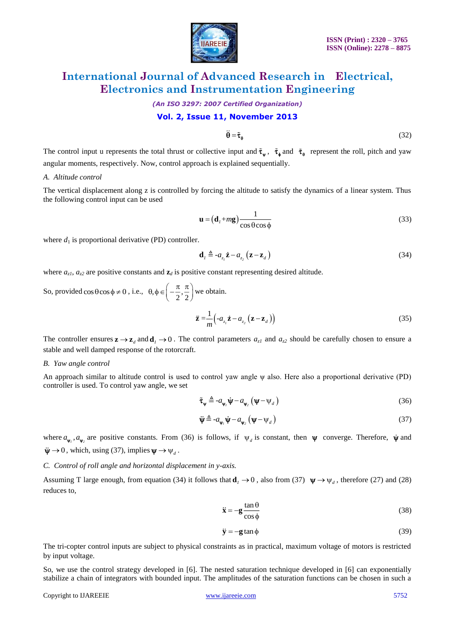

*(An ISO 3297: 2007 Certified Organization)*

#### **Vol. 2, Issue 11, November 2013**

$$
\ddot{\theta} = \tilde{\tau}_{\theta} \tag{32}
$$

The control input u represents the total thrust or collective input and  $\tilde{\tau}_{\psi}$ ,  $\tilde{\tau}_{\phi}$  and  $\tilde{\tau}_{\theta}$  represent the roll, pitch and yaw angular moments, respectively. Now, control approach is explained sequentially.

#### *A. Altitude control*

The vertical displacement along z is controlled by forcing the altitude to satisfy the dynamics of a linear system. Thus the following control input can be used

$$
\mathbf{u} = (\mathbf{d}_1 + m\mathbf{g}) \frac{1}{\cos \theta \cos \phi}
$$
 (33)

where  $d_1$  is proportional derivative (PD) controller.

$$
\mathbf{d}_1 \triangleq -a_{z_1} \dot{\mathbf{z}} - a_{z_2} (\mathbf{z} - \mathbf{z}_d)
$$
 (34)

where  $a_{z1}$ ,  $a_{z2}$  are positive constants and  $\mathbf{z}_d$  is positive constant representing desired altitude.

So, provided  $\cos \theta \cos \phi \neq 0$ , i.e.,  $\theta, \phi \in \left(-\frac{\pi}{2}, \frac{\pi}{2}\right)$  we obtain.

$$
\ddot{\mathbf{z}} = \frac{1}{m} \Big( -a_{z_1} \dot{\mathbf{z}} - a_{z_2} \left( \mathbf{z} - \mathbf{z}_d \right) \Big) \tag{35}
$$

The controller ensures  $z \rightarrow z_d$  and  $d_1 \rightarrow 0$ . The control parameters  $a_{z1}$  and  $a_{z2}$  should be carefully chosen to ensure a stable and well damped response of the rotorcraft.

#### *B. Yaw angle control*

An approach similar to altitude control is used to control yaw angle ψ also. Here also a proportional derivative (PD) controller is used. To control yaw angle, we set

$$
\tilde{\tau}_{\Psi} \triangleq -a_{\Psi_{l}} \dot{\Psi} - a_{\Psi_{2}} \left( \Psi - \Psi_{d} \right)
$$
\n(36)

$$
\ddot{\mathbf{\Psi}} \triangleq -a_{\mathbf{\Psi}_l} \dot{\mathbf{\Psi}} - a_{\mathbf{\Psi}_2} \left( \mathbf{\Psi} - \mathbf{\Psi}_d \right)
$$
 (37)

where  $a_{\psi}$ ,  $a_{\psi_2}$  are positive constants. From (36) is follows, if  $\psi_d$  is constant, then  $\psi$  converge. Therefore,  $\dot{\psi}$  and  $\ddot{\psi} \rightarrow 0$ , which, using (37), implies  $\psi \rightarrow \psi_d$ .

#### *C. Control of roll angle and horizontal displacement in y-axis.*

Assuming T large enough, from equation (34) it follows that  $\mathbf{d}_1 \to 0$ , also from (37)  $\mathbf{\psi} \to \psi_d$ , therefore (27) and (28) reduces to,

$$
\ddot{\mathbf{x}} = -\mathbf{g} \frac{\tan \theta}{\cos \phi} \tag{38}
$$

$$
\ddot{\mathbf{y}} = -\mathbf{g} \tan \phi \tag{39}
$$

The tri-copter control inputs are subject to physical constraints as in practical, maximum voltage of motors is restricted by input voltage.

So, we use the control strategy developed in [6]. The nested saturation technique developed in [6] can exponentially stabilize a chain of integrators with bounded input. The amplitudes of the saturation functions can be chosen in such a

Copyright to IJAREEIE www.ijareeie.com 5752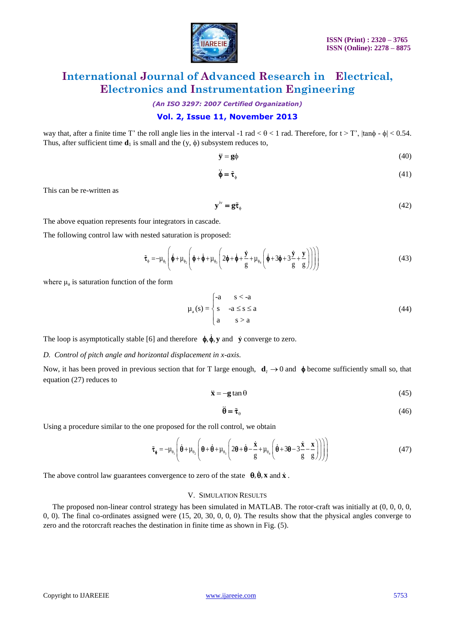

*(An ISO 3297: 2007 Certified Organization)*

#### **Vol. 2, Issue 11, November 2013**

way that, after a finite time T' the roll angle lies in the interval -1 rad  $< \theta < 1$  rad. Therefore, for  $t > T'$ ,  $|\tan \phi - \phi| < 0.54$ . Thus, after sufficient time  $\mathbf{d}_1$  is small and the (y,  $\phi$ ) subsystem reduces to,

$$
\ddot{\mathbf{y}} = \mathbf{g}\phi \tag{40}
$$

$$
\ddot{\phi} = \tilde{\tau}_{\phi} \tag{41}
$$

This can be re-written as

$$
\mathbf{y}^{\prime\prime} = \mathbf{g}\tilde{\boldsymbol{\tau}}_{\phi} \tag{42}
$$

The above equation represents four integrators in cascade.

The following control law with nested saturation is proposed:

$$
\tilde{\tau}_{\phi} = -\mu_{\phi_1} \left( \dot{\phi} + \mu_{\phi_2} \left( \phi + \dot{\phi} + \mu_{\phi_3} \left( 2\phi + \dot{\phi} + \frac{\dot{y}}{g} + \mu_{\phi_4} \left( \dot{\phi} + 3\phi + 3\frac{\dot{y}}{g} + \frac{y}{g} \right) \right) \right) \right)
$$
(43)

where  $\mu_a$  is saturation function of the form

$$
\mu_a(s) = \begin{cases}\n-a & s < -a \\
s & -a \le s \le a \\
a & s > a\n\end{cases}
$$
\n(44)

The loop is asymptotically stable [6] and therefore  $\phi$ ,  $\phi$ ,  $y$  and  $\dot{y}$  converge to zero.

#### *D. Control of pitch angle and horizontal displacement in x-axis.*

Now, it has been proved in previous section that for T large enough,  $d_1 \rightarrow 0$  and  $\phi$  become sufficiently small so, that equation (27) reduces to

$$
\ddot{\mathbf{x}} = -\mathbf{g} \tan \theta \tag{45}
$$

$$
\ddot{\theta} = \tilde{\tau}_0 \tag{46}
$$

Using a procedure similar to the one proposed for the roll control, we obtain  
\n
$$
\tilde{\tau}_{\phi} = -\mu_{\theta_1} \left( \dot{\theta} + \mu_{\theta_2} \left( \theta + \dot{\theta} + \mu_{\theta_3} \left( 2\theta + \dot{\theta} - \frac{\dot{x}}{g} + \mu_{\theta_4} \left( \dot{\theta} + 3\theta - 3\frac{\dot{x}}{g} - \frac{x}{g} \right) \right) \right) \right)
$$
\n(47)

The above control law guarantees convergence to zero of the state  $\theta$ ,  $\theta$ , **x** and **x**.

#### V. SIMULATION RESULTS

The proposed non-linear control strategy has been simulated in MATLAB. The rotor-craft was initially at  $(0, 0, 0, 0, 0, 0)$ 0, 0). The final co-ordinates assigned were (15, 20, 30, 0, 0, 0). The results show that the physical angles converge to zero and the rotorcraft reaches the destination in finite time as shown in Fig. (5).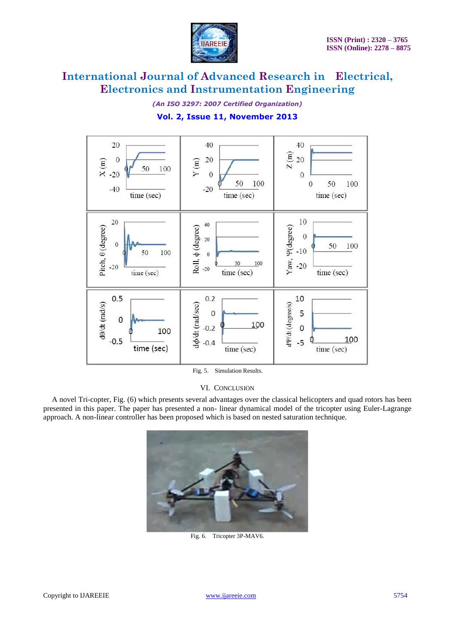

*(An ISO 3297: 2007 Certified Organization)*

#### **Vol. 2, Issue 11, November 2013**



Fig. 5. Simulation Results.

#### VI. CONCLUSION

A novel Tri-copter, Fig. (6) which presents several advantages over the classical helicopters and quad rotors has been presented in this paper. The paper has presented a non- linear dynamical model of the tricopter using Euler-Lagrange approach. A non-linear controller has been proposed which is based on nested saturation technique.



Fig. 6. Tricopter 3P-MAV6.